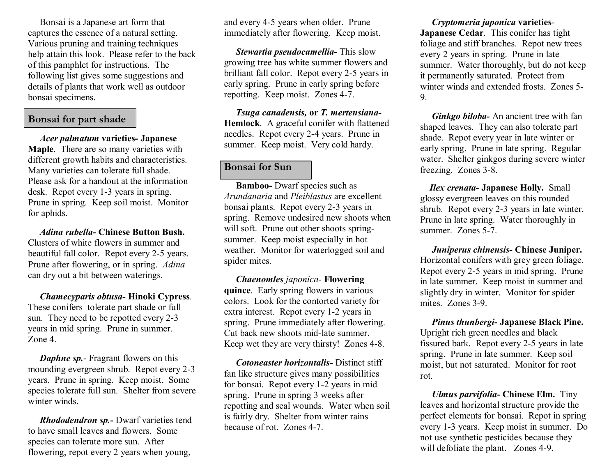Bonsai is a Japanese art form that captures the essence of a natural setting. Various pruning and training techniques help attain this look. Please refer to the back of this pamphlet for instructions. The following list gives some suggestions and details of plants that work well as outdoor bonsai specimens.

# **Bonsai for part shade**

*Acer palmatum* **varieties Japanese Maple**. There are so many varieties with different growth habits and characteristics. Many varieties can tolerate full shade. Please ask for a handout at the information desk. Repot every 1-3 years in spring. Prune in spring. Keep soil moist. Monitor for aphids.

*Adina rubella* **Chinese Button Bush.** Clusters of white flowers in summer and beautiful fall color. Repot every 2-5 years. Prune after flowering, or in spring. *Adina* can dry out a bit between waterings.

*Chamecyparis obtusa* **Hinoki Cypress.** These conifers tolerate part shade or full sun. They need to be repotted every 2-3 years in mid spring. Prune in summer. Zone 4

*Daphne sp.* Fragrant flowers on this mounding evergreen shrub. Repot every 2-3 years. Prune in spring. Keep moist. Some species tolerate full sun. Shelter from severe winter winds.

*Rhododendron sp.* Dwarf varieties tend to have small leaves and flowers. Some species can tolerate more sun. After flowering, repot every 2 years when young,

and every 4-5 years when older. Prune immediately after flowering. Keep moist.

*Stewartia pseudocamellia-* This slow growing tree has white summer flowers and brilliant fall color. Repot every 2-5 years in early spring. Prune in early spring before repotting. Keep moist. Zones 47.

*Tsuga canadensis,* **or** *T. mertensiana-***Hemlock**. A graceful conifer with flattened needles. Repot every 2-4 years. Prune in summer. Keep moist. Very cold hardy.

# **Bonsai for Sun**

**Bamboo-** Dwarf species such as *Arundanaria* and *Pleiblastus* are excellent bonsai plants. Repot every 2-3 years in spring. Remove undesired new shoots when will soft. Prune out other shoots springsummer. Keep moist especially in hot weather. Monitor for waterlogged soil and spider mites.

*Chaenomles japonica* **Flowering quince**. Early spring flowers in various colors. Look for the contorted variety for extra interest. Repot every 1-2 years in spring. Prune immediately after flowering. Cut back new shoots mid-late summer. Keep wet they are very thirsty! Zones 4-8.

*Cotoneaster horizontalis-* Distinct stiff fan like structure gives many possibilities for bonsai. Repot every 1-2 years in mid spring. Prune in spring 3 weeks after repotting and seal wounds. Water when soil is fairly dry. Shelter from winter rains because of rot. Zones 4-7.

*Cryptomeria japonica* **varieties Japanese Cedar**. This conifer has tight foliage and stiff branches. Repot new trees every 2 years in spring. Prune in late summer. Water thoroughly, but do not keep it permanently saturated. Protect from winter winds and extended frosts. Zones 5 9.

*Ginkgo biloba* - An ancient tree with fan shaped leaves. They can also tolerate part shade. Repot every year in late winter or early spring. Prune in late spring. Regular water. Shelter ginkgos during severe winter freezing. Zones 3-8.

*<i>Ilex crenata* **Japanese Holly.** Small glossy evergreen leaves on this rounded shrub. Repot every 2-3 years in late winter. Prune in late spring. Water thoroughly in summer. Zones 5-7

*Juniperus chinensis* **Chinese Juniper.** Horizontal conifers with grey green foliage. Repot every 2-5 years in mid spring. Prune in late summer. Keep moist in summer and slightly dry in winter. Monitor for spider mites. Zones 3-9.

*Pinus thunbergi* **Japanese Black Pine.** Upright rich green needles and black fissured bark. Repot every 25 years in late spring. Prune in late summer. Keep soil moist, but not saturated. Monitor for root rot.

*Ulmus parvifolia-* **Chinese Elm.** Tiny leaves and horizontal structure provide the perfect elements for bonsai. Repot in spring every 13 years. Keep moist in summer. Do not use synthetic pesticides because they will defoliate the plant. Zones 4-9.